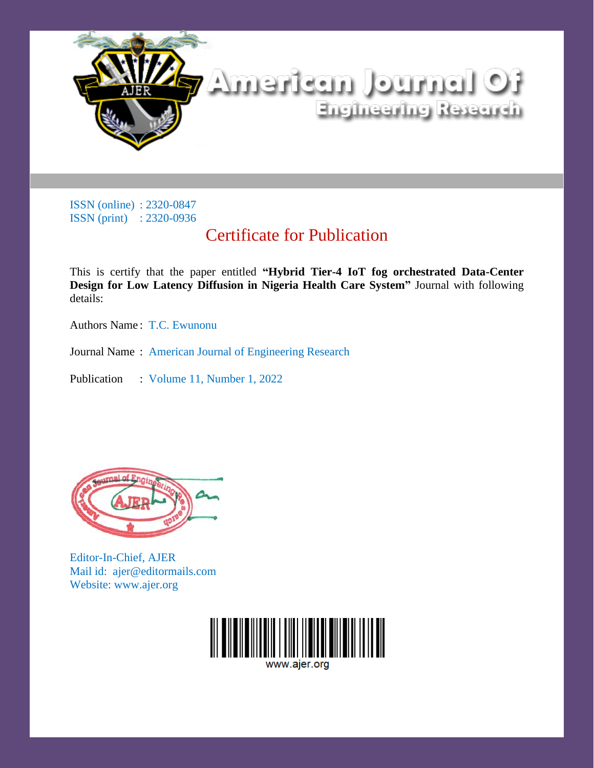

## Certificate for Publication

This is certify that the paper entitled **"Hybrid Tier-4 IoT fog orchestrated Data-Center Design for Low Latency Diffusion in Nigeria Health Care System"** Journal with following details:

Authors Name : T.C. Ewunonu

Journal Name : American Journal of Engineering Research

Publication : Volume 11, Number 1, 2022



Editor-In-Chief, AJER Mail id: ajer@editormails.com Website: www.ajer.org

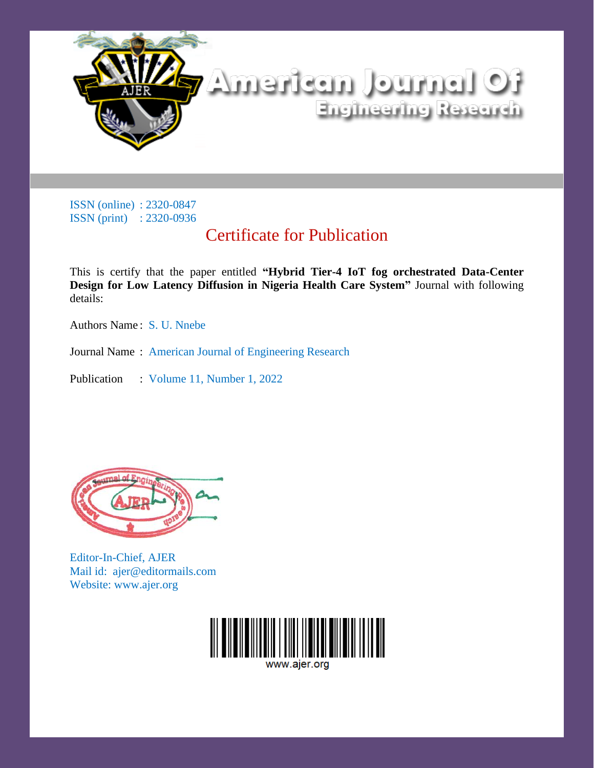

## Certificate for Publication

This is certify that the paper entitled **"Hybrid Tier-4 IoT fog orchestrated Data-Center Design for Low Latency Diffusion in Nigeria Health Care System"** Journal with following details:

Authors Name : S. U. Nnebe

Journal Name : American Journal of Engineering Research

Publication : Volume 11, Number 1, 2022



Editor-In-Chief, AJER Mail id: ajer@editormails.com Website: www.ajer.org

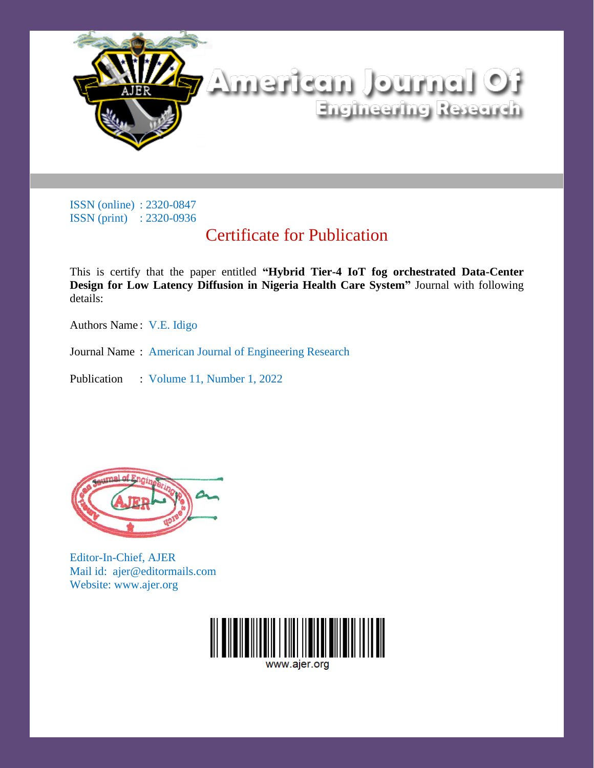

## Certificate for Publication

This is certify that the paper entitled **"Hybrid Tier-4 IoT fog orchestrated Data-Center Design for Low Latency Diffusion in Nigeria Health Care System"** Journal with following details:

Authors Name : V.E. Idigo

Journal Name : American Journal of Engineering Research

Publication : Volume 11, Number 1, 2022



Editor-In-Chief, AJER Mail id: ajer@editormails.com Website: www.ajer.org